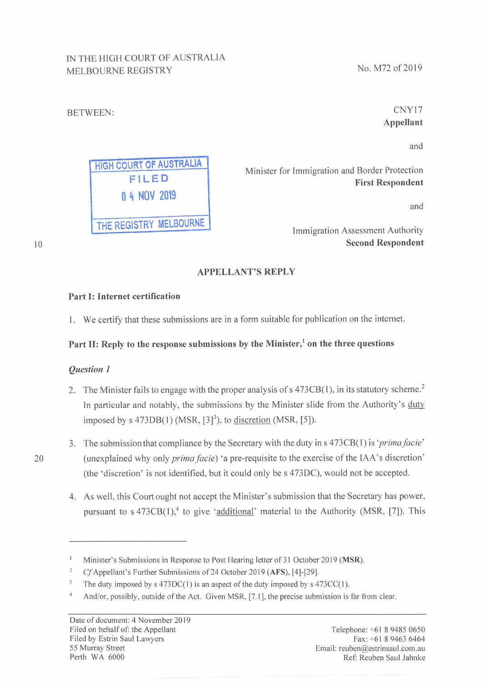# IN THE HIGH COURT OF AUSTRALIA MELBOURNE REGISTRY

**HIGH COURT OF AUSTRALIA** 

FILED

0 4 NOV 2019

THE REGISTRY MELBOURNE

No. M72 of 2019

# CNY17 **Appellant**

and

Minister for Immigration and Border Protection **First Respondent** 

and

Immigration Assessment Authority **Second Respondent** 

### **APPELLANT'S REPLY**

#### Part I: Internet certification

1. We certify that these submissions are in a form suitable for publication on the internet.

### Part II: Reply to the response submissions by the Minister,<sup>1</sup> on the three questions

### **Ouestion 1**

**BETWEEN:** 

- 2. The Minister fails to engage with the proper analysis of s 473CB(1), in its statutory scheme.<sup>2</sup> In particular and notably, the submissions by the Minister slide from the Authority's duty imposed by  $s$  473DB(1) (MSR,  $[3]$ <sup>3</sup>), to discretion (MSR,  $[5]$ ).
- 3. The submission that compliance by the Secretary with the duty in s 473CB(1) is 'prima facie' (unexplained why only *prima facie*) 'a pre-requisite to the exercise of the IAA's discretion' (the 'discretion' is not identified, but it could only be s 473DC), would not be accepted.
- 4. As well, this Court ought not accept the Minister's submission that the Secretary has power, pursuant to  $s$  473CB(1),<sup>4</sup> to give 'additional' material to the Authority (MSR, [7]). This

 $10$ 

20

Minister's Submissions in Response to Post Hearing letter of 31 October 2019 (MSR).

 $\overline{2}$ Cf Appellant's Further Submissions of 24 October 2019 (AFS), [4]-[29].

 $\overline{\mathbf{3}}$ The duty imposed by  $s$  473DC(1) is an aspect of the duty imposed by  $s$  473CC(1).

 $\overline{4}$ And/or, possibly, outside of the Act. Given MSR, [7.1], the precise submission is far from clear.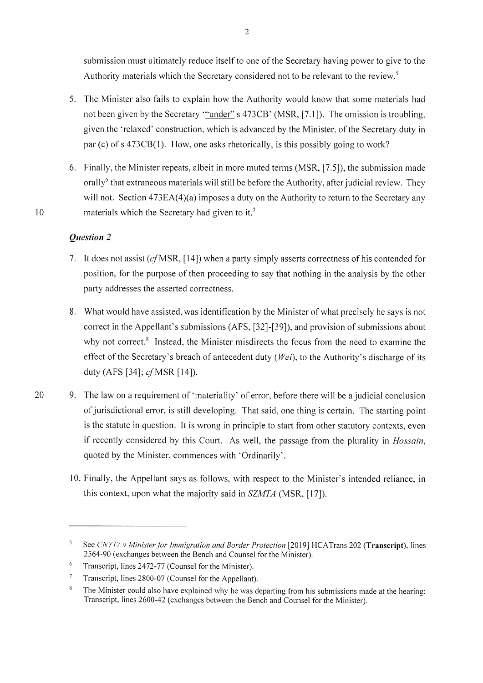submission must ultimately reduce itself to one of the Secretary having power to give to the Authority materials which the Secretary considered not to be relevant to the review.<sup>5</sup>

- 5. The Minister also fails to explain how the Authority would know that some materials had not been given by the Secretary "under" s 473CB' (MSR, [7.1]). The omission is troubling, given the 'relaxed' construction, which is advanced by the Minister, of the Secretary duty in par (c) of s 473CB(1). How, one asks rhetorically, is this possibly going to work?
- 6. Finally, the Minister repeats, albeit in more muted terms (MSR, [7.5]), the submission made orally<sup>6</sup> that extraneous materials will still be before the Authority, after judicial review. They will not. Section 473EA(4)(a) imposes a duty on the Authority to return to the Secretary any materials which the Secretary had given to it.<sup>7</sup>

# Question 2

 $10$ 

- 7. It does not assist (cf MSR, [14]) when a party simply asserts correctness of his contended for position, for the purpose of then proceeding to say that nothing in the analysis by the other party addresses the asserted correctness.
- 8. What would have assisted, was identification by the Minister of what precisely he says is not correct in the Appellant's submissions (AFS, [32]-[39]), and provision of submissions about why not correct.<sup>8</sup> Instead, the Minister misdirects the focus from the need to examine the effect of the Secretary's breach of antecedent duty ( $Wei$ ), to the Authority's discharge of its duty (AFS [34]; *cf* MSR [14]).
- 9. The law on a requirement of 'materiality' of error, before there will be a judicial conclusion 20 of jurisdictional error, is still developing. That said, one thing is certain. The starting point is the statute in question. It is wrong in principle to start from other statutory contexts, even if recently considered by this Court. As well, the passage from the plurality in *Hossain*, quoted by the Minister, commences with 'Ordinarily'.
	- 10. Finally, the Appellant says as follows, with respect to the Minister's intended reliance, in this context, upon what the majority said in  $SZMTA$  (MSR, [17]).

<sup>5</sup> See CNY17 v Minister for Immigration and Border Protection [2019] HCATrans 202 (Transcript), lines 2564-90 (exchanges between the Bench and Counsel for the Minister).

<sup>6</sup> Transcript, lines 2472-77 (Counsel for the Minister).

 $\overline{7}$ Transcript, lines 2800-07 (Counsel for the Appellant).

 $\bf 8$ The Minister could also have explained why he was departing from his submissions made at the hearing: Transcript, lines 2600-42 (exchanges between the Bench and Counsel for the Minister).